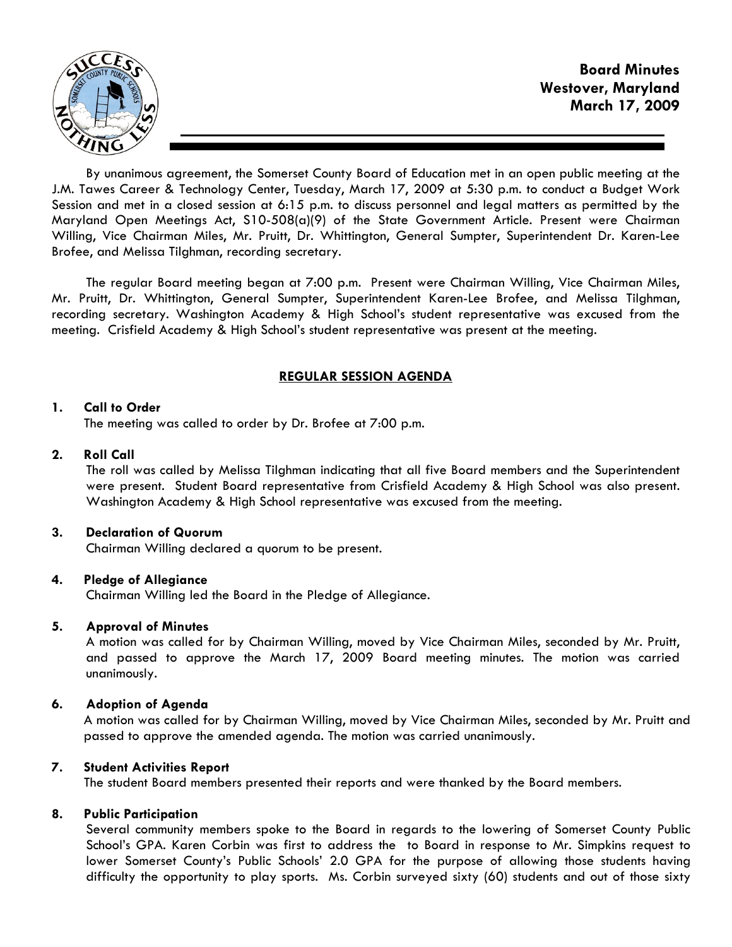

By unanimous agreement, the Somerset County Board of Education met in an open public meeting at the J.M. Tawes Career & Technology Center, Tuesday, March 17, 2009 at 5:30 p.m. to conduct a Budget Work Session and met in a closed session at 6:15 p.m. to discuss personnel and legal matters as permitted by the Maryland Open Meetings Act, S10-508(a)(9) of the State Government Article. Present were Chairman Willing, Vice Chairman Miles, Mr. Pruitt, Dr. Whittington, General Sumpter, Superintendent Dr. Karen-Lee Brofee, and Melissa Tilghman, recording secretary.

The regular Board meeting began at 7:00 p.m. Present were Chairman Willing, Vice Chairman Miles, Mr. Pruitt, Dr. Whittington, General Sumpter, Superintendent Karen-Lee Brofee, and Melissa Tilghman, recording secretary. Washington Academy & High School's student representative was excused from the meeting. Crisfield Academy & High School's student representative was present at the meeting.

## REGULAR SESSION AGENDA

## 1. Call to Order

The meeting was called to order by Dr. Brofee at 7:00 p.m.

## 2. Roll Call

The roll was called by Melissa Tilghman indicating that all five Board members and the Superintendent were present. Student Board representative from Crisfield Academy & High School was also present. Washington Academy & High School representative was excused from the meeting.

### 3. Declaration of Quorum

Chairman Willing declared a quorum to be present.

# 4. Pledge of Allegiance

Chairman Willing led the Board in the Pledge of Allegiance.

### 5. Approval of Minutes

 A motion was called for by Chairman Willing, moved by Vice Chairman Miles, seconded by Mr. Pruitt, and passed to approve the March 17, 2009 Board meeting minutes. The motion was carried unanimously.

# 6. Adoption of Agenda

 A motion was called for by Chairman Willing, moved by Vice Chairman Miles, seconded by Mr. Pruitt and passed to approve the amended agenda. The motion was carried unanimously.

# 7. Student Activities Report

The student Board members presented their reports and were thanked by the Board members.

# 8. Public Participation

Several community members spoke to the Board in regards to the lowering of Somerset County Public School's GPA. Karen Corbin was first to address the to Board in response to Mr. Simpkins request to lower Somerset County's Public Schools' 2.0 GPA for the purpose of allowing those students having difficulty the opportunity to play sports. Ms. Corbin surveyed sixty (60) students and out of those sixty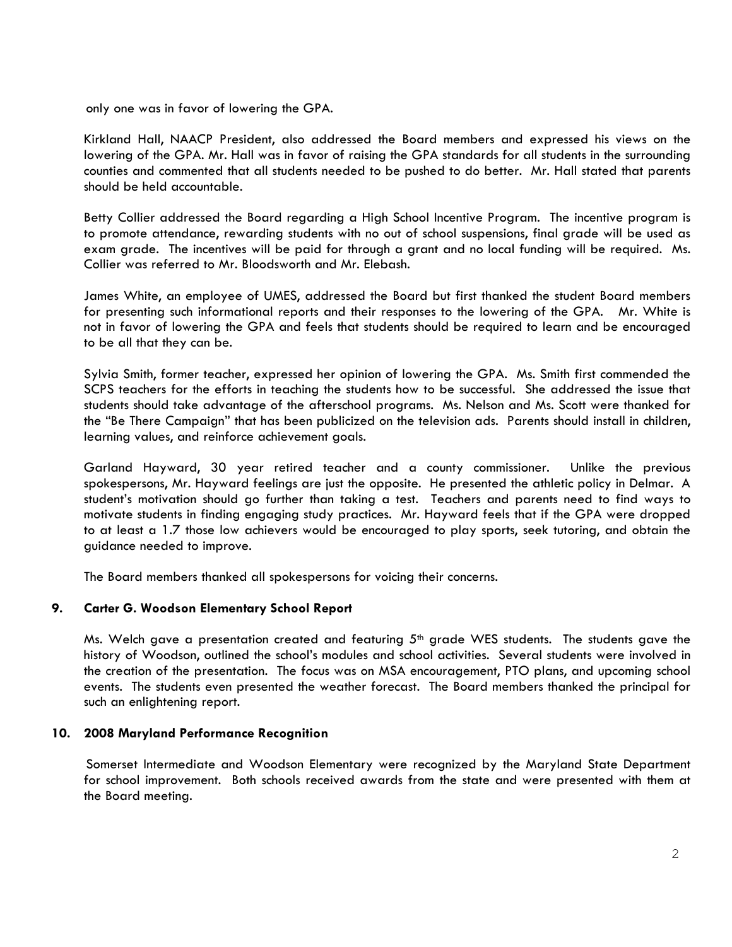only one was in favor of lowering the GPA.

Kirkland Hall, NAACP President, also addressed the Board members and expressed his views on the lowering of the GPA. Mr. Hall was in favor of raising the GPA standards for all students in the surrounding counties and commented that all students needed to be pushed to do better. Mr. Hall stated that parents should be held accountable.

Betty Collier addressed the Board regarding a High School Incentive Program. The incentive program is to promote attendance, rewarding students with no out of school suspensions, final grade will be used as exam grade. The incentives will be paid for through a grant and no local funding will be required. Ms. Collier was referred to Mr. Bloodsworth and Mr. Elebash.

James White, an employee of UMES, addressed the Board but first thanked the student Board members for presenting such informational reports and their responses to the lowering of the GPA. Mr. White is not in favor of lowering the GPA and feels that students should be required to learn and be encouraged to be all that they can be.

Sylvia Smith, former teacher, expressed her opinion of lowering the GPA. Ms. Smith first commended the SCPS teachers for the efforts in teaching the students how to be successful. She addressed the issue that students should take advantage of the afterschool programs. Ms. Nelson and Ms. Scott were thanked for the "Be There Campaign" that has been publicized on the television ads. Parents should install in children, learning values, and reinforce achievement goals.

Garland Hayward, 30 year retired teacher and a county commissioner. Unlike the previous spokespersons, Mr. Hayward feelings are just the opposite. He presented the athletic policy in Delmar. A student's motivation should go further than taking a test. Teachers and parents need to find ways to motivate students in finding engaging study practices. Mr. Hayward feels that if the GPA were dropped to at least a 1.7 those low achievers would be encouraged to play sports, seek tutoring, and obtain the guidance needed to improve.

The Board members thanked all spokespersons for voicing their concerns.

### 9. Carter G. Woodson Elementary School Report

Ms. Welch gave a presentation created and featuring  $5<sup>th</sup>$  grade WES students. The students gave the history of Woodson, outlined the school's modules and school activities. Several students were involved in the creation of the presentation. The focus was on MSA encouragement, PTO plans, and upcoming school events. The students even presented the weather forecast. The Board members thanked the principal for such an enlightening report.

### 10. 2008 Maryland Performance Recognition

 Somerset Intermediate and Woodson Elementary were recognized by the Maryland State Department for school improvement. Both schools received awards from the state and were presented with them at the Board meeting.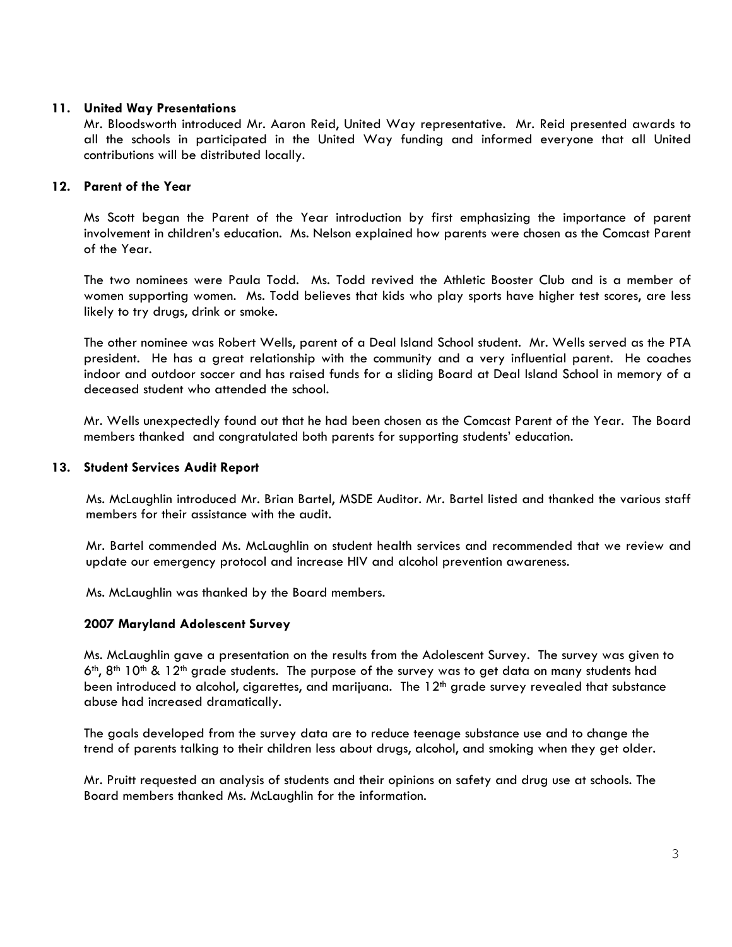### 11. United Way Presentations

Mr. Bloodsworth introduced Mr. Aaron Reid, United Way representative. Mr. Reid presented awards to all the schools in participated in the United Way funding and informed everyone that all United contributions will be distributed locally.

## 12. Parent of the Year

 Ms Scott began the Parent of the Year introduction by first emphasizing the importance of parent involvement in children's education. Ms. Nelson explained how parents were chosen as the Comcast Parent of the Year.

 The two nominees were Paula Todd. Ms. Todd revived the Athletic Booster Club and is a member of women supporting women. Ms. Todd believes that kids who play sports have higher test scores, are less likely to try drugs, drink or smoke.

 The other nominee was Robert Wells, parent of a Deal Island School student. Mr. Wells served as the PTA president. He has a great relationship with the community and a very influential parent. He coaches indoor and outdoor soccer and has raised funds for a sliding Board at Deal Island School in memory of a deceased student who attended the school.

 Mr. Wells unexpectedly found out that he had been chosen as the Comcast Parent of the Year. The Board members thanked and congratulated both parents for supporting students' education.

### 13. Student Services Audit Report

 Ms. McLaughlin introduced Mr. Brian Bartel, MSDE Auditor. Mr. Bartel listed and thanked the various staff members for their assistance with the audit.

 Mr. Bartel commended Ms. McLaughlin on student health services and recommended that we review and update our emergency protocol and increase HIV and alcohol prevention awareness.

Ms. McLaughlin was thanked by the Board members.

### 2007 Maryland Adolescent Survey

Ms. McLaughlin gave a presentation on the results from the Adolescent Survey. The survey was given to  $6<sup>th</sup>$ ,  $8<sup>th</sup>$  10<sup>th</sup> & 12<sup>th</sup> grade students. The purpose of the survey was to get data on many students had been introduced to alcohol, cigarettes, and marijuana. The 12<sup>th</sup> grade survey revealed that substance abuse had increased dramatically.

The goals developed from the survey data are to reduce teenage substance use and to change the trend of parents talking to their children less about drugs, alcohol, and smoking when they get older.

Mr. Pruitt requested an analysis of students and their opinions on safety and drug use at schools. The Board members thanked Ms. McLaughlin for the information.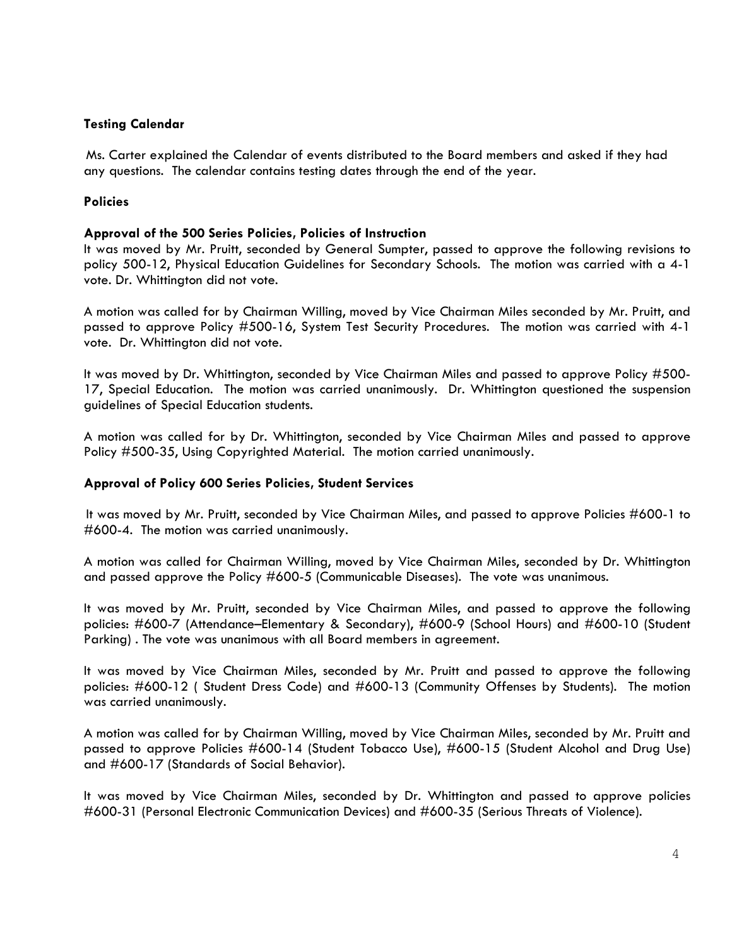### Testing Calendar

 Ms. Carter explained the Calendar of events distributed to the Board members and asked if they had any questions. The calendar contains testing dates through the end of the year.

## **Policies**

### Approval of the 500 Series Policies, Policies of Instruction

It was moved by Mr. Pruitt, seconded by General Sumpter, passed to approve the following revisions to policy 500-12, Physical Education Guidelines for Secondary Schools. The motion was carried with a 4-1 vote. Dr. Whittington did not vote.

A motion was called for by Chairman Willing, moved by Vice Chairman Miles seconded by Mr. Pruitt, and passed to approve Policy #500-16, System Test Security Procedures. The motion was carried with 4-1 vote. Dr. Whittington did not vote.

It was moved by Dr. Whittington, seconded by Vice Chairman Miles and passed to approve Policy #500- 17, Special Education. The motion was carried unanimously. Dr. Whittington questioned the suspension guidelines of Special Education students.

A motion was called for by Dr. Whittington, seconded by Vice Chairman Miles and passed to approve Policy #500-35, Using Copyrighted Material. The motion carried unanimously.

### Approval of Policy 600 Series Policies, Student Services

It was moved by Mr. Pruitt, seconded by Vice Chairman Miles, and passed to approve Policies #600-1 to #600-4. The motion was carried unanimously.

A motion was called for Chairman Willing, moved by Vice Chairman Miles, seconded by Dr. Whittington and passed approve the Policy #600-5 (Communicable Diseases). The vote was unanimous.

It was moved by Mr. Pruitt, seconded by Vice Chairman Miles, and passed to approve the following policies: #600-7 (Attendance–Elementary & Secondary), #600-9 (School Hours) and #600-10 (Student Parking) . The vote was unanimous with all Board members in agreement.

It was moved by Vice Chairman Miles, seconded by Mr. Pruitt and passed to approve the following policies: #600-12 ( Student Dress Code) and #600-13 (Community Offenses by Students). The motion was carried unanimously.

A motion was called for by Chairman Willing, moved by Vice Chairman Miles, seconded by Mr. Pruitt and passed to approve Policies #600-14 (Student Tobacco Use), #600-15 (Student Alcohol and Drug Use) and #600-17 (Standards of Social Behavior).

It was moved by Vice Chairman Miles, seconded by Dr. Whittington and passed to approve policies #600-31 (Personal Electronic Communication Devices) and #600-35 (Serious Threats of Violence).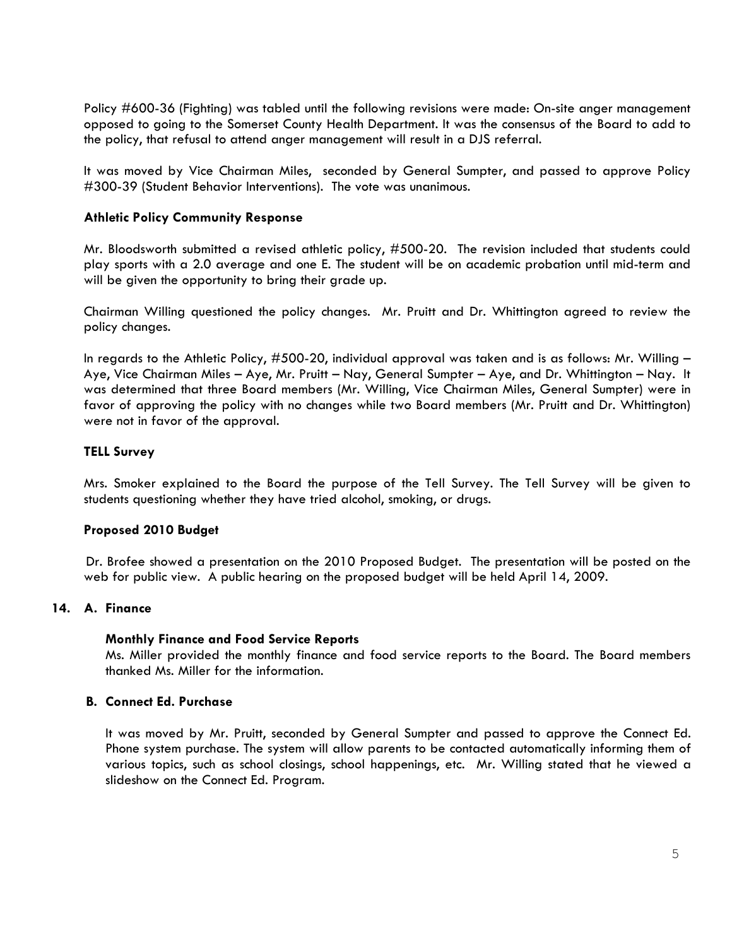Policy #600-36 (Fighting) was tabled until the following revisions were made: On-site anger management opposed to going to the Somerset County Health Department. It was the consensus of the Board to add to the policy, that refusal to attend anger management will result in a DJS referral.

It was moved by Vice Chairman Miles, seconded by General Sumpter, and passed to approve Policy #300-39 (Student Behavior Interventions). The vote was unanimous.

### Athletic Policy Community Response

Mr. Bloodsworth submitted a revised athletic policy, #500-20. The revision included that students could play sports with a 2.0 average and one E. The student will be on academic probation until mid-term and will be given the opportunity to bring their grade up.

Chairman Willing questioned the policy changes. Mr. Pruitt and Dr. Whittington agreed to review the policy changes.

In regards to the Athletic Policy, #500-20, individual approval was taken and is as follows: Mr. Willing – Aye, Vice Chairman Miles – Aye, Mr. Pruitt – Nay, General Sumpter – Aye, and Dr. Whittington – Nay. It was determined that three Board members (Mr. Willing, Vice Chairman Miles, General Sumpter) were in favor of approving the policy with no changes while two Board members (Mr. Pruitt and Dr. Whittington) were not in favor of the approval.

## TELL Survey

Mrs. Smoker explained to the Board the purpose of the Tell Survey. The Tell Survey will be given to students questioning whether they have tried alcohol, smoking, or drugs.

### Proposed 2010 Budget

 Dr. Brofee showed a presentation on the 2010 Proposed Budget. The presentation will be posted on the web for public view. A public hearing on the proposed budget will be held April 14, 2009.

### 14. A. Finance

### Monthly Finance and Food Service Reports

Ms. Miller provided the monthly finance and food service reports to the Board. The Board members thanked Ms. Miller for the information.

### B. Connect Ed. Purchase

It was moved by Mr. Pruitt, seconded by General Sumpter and passed to approve the Connect Ed. Phone system purchase. The system will allow parents to be contacted automatically informing them of various topics, such as school closings, school happenings, etc. Mr. Willing stated that he viewed a slideshow on the Connect Ed. Program.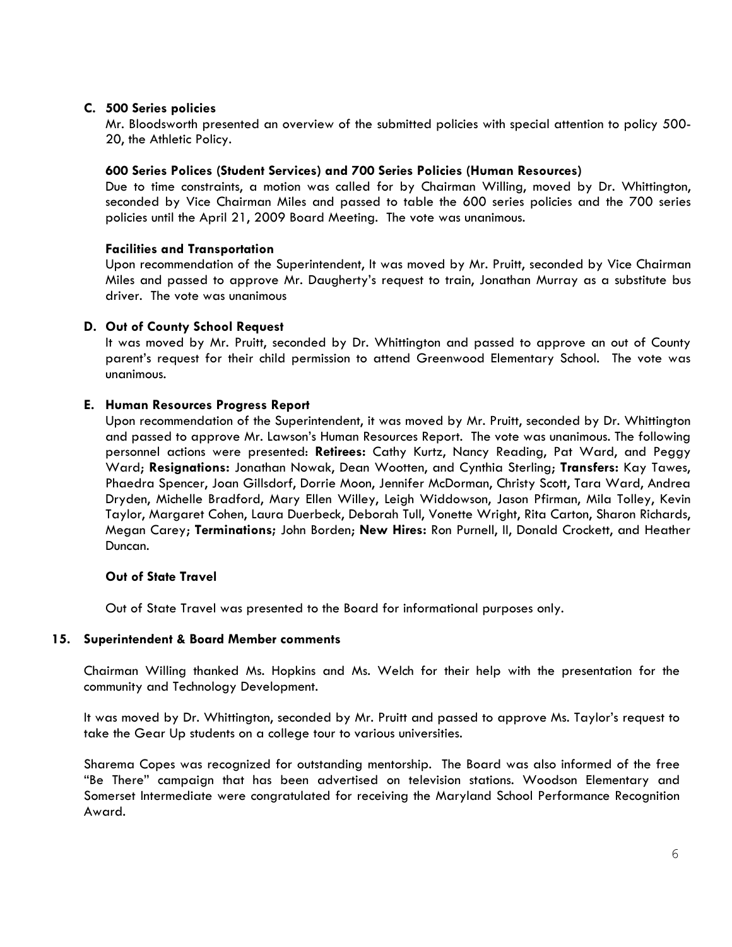### C. 500 Series policies

Mr. Bloodsworth presented an overview of the submitted policies with special attention to policy 500- 20, the Athletic Policy.

#### 600 Series Polices (Student Services) and 700 Series Policies (Human Resources)

Due to time constraints, a motion was called for by Chairman Willing, moved by Dr. Whittington, seconded by Vice Chairman Miles and passed to table the 600 series policies and the 700 series policies until the April 21, 2009 Board Meeting. The vote was unanimous.

#### Facilities and Transportation

Upon recommendation of the Superintendent, It was moved by Mr. Pruitt, seconded by Vice Chairman Miles and passed to approve Mr. Daugherty's request to train, Jonathan Murray as a substitute bus driver. The vote was unanimous

#### D. Out of County School Request

It was moved by Mr. Pruitt, seconded by Dr. Whittington and passed to approve an out of County parent's request for their child permission to attend Greenwood Elementary School. The vote was unanimous.

#### E. Human Resources Progress Report

Upon recommendation of the Superintendent, it was moved by Mr. Pruitt, seconded by Dr. Whittington and passed to approve Mr. Lawson's Human Resources Report. The vote was unanimous. The following personnel actions were presented: Retirees: Cathy Kurtz, Nancy Reading, Pat Ward, and Peggy Ward; Resignations: Jonathan Nowak, Dean Wootten, and Cynthia Sterling; Transfers: Kay Tawes, Phaedra Spencer, Joan Gillsdorf, Dorrie Moon, Jennifer McDorman, Christy Scott, Tara Ward, Andrea Dryden, Michelle Bradford, Mary Ellen Willey, Leigh Widdowson, Jason Pfirman, Mila Tolley, Kevin Taylor, Margaret Cohen, Laura Duerbeck, Deborah Tull, Vonette Wright, Rita Carton, Sharon Richards, Megan Carey; Terminations; John Borden; New Hires: Ron Purnell, II, Donald Crockett, and Heather Duncan.

#### Out of State Travel

Out of State Travel was presented to the Board for informational purposes only.

#### 15. Superintendent & Board Member comments

Chairman Willing thanked Ms. Hopkins and Ms. Welch for their help with the presentation for the community and Technology Development.

It was moved by Dr. Whittington, seconded by Mr. Pruitt and passed to approve Ms. Taylor's request to take the Gear Up students on a college tour to various universities.

Sharema Copes was recognized for outstanding mentorship. The Board was also informed of the free "Be There" campaign that has been advertised on television stations. Woodson Elementary and Somerset Intermediate were congratulated for receiving the Maryland School Performance Recognition Award.